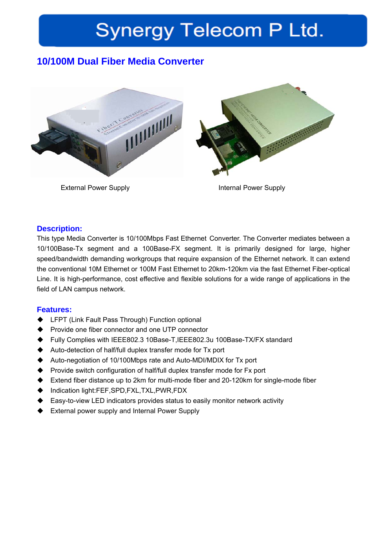# **Synergy Telecom P Ltd.**

# **10/100M Dual Fiber Media Converter**



External Power Supply **Internal Power Supply** 

### **Description:**

This type Media Converter is 10/100Mbps Fast Ethernet Converter. The Converter mediates between a 10/100Base-Tx segment and a 100Base-FX segment. It is primarily designed for large, higher speed/bandwidth demanding workgroups that require expansion of the Ethernet network. It can extend the conventional 10M Ethernet or 100M Fast Ethernet to 20km-120km via the fast Ethernet Fiber-optical Line. It is high-performance, cost effective and flexible solutions for a wide range of applications in the field of LAN campus network.

#### **Features:**

- ◆ LFPT (Link Fault Pass Through) Function optional
- ◆ Provide one fiber connector and one UTP connector
- Fully Complies with IEEE802.3 10Base-T,IEEE802.3u 100Base-TX/FX standard
- ◆ Auto-detection of half/full duplex transfer mode for Tx port
- Auto-negotiation of 10/100Mbps rate and Auto-MDI/MDIX for Tx port
- ◆ Provide switch configuration of half/full duplex transfer mode for Fx port
- Extend fiber distance up to 2km for multi-mode fiber and 20-120km for single-mode fiber
- ◆ Indication light:FEF,SPD,FXL,TXL,PWR,FDX
- Easy-to-view LED indicators provides status to easily monitor network activity
- ◆ External power supply and Internal Power Supply